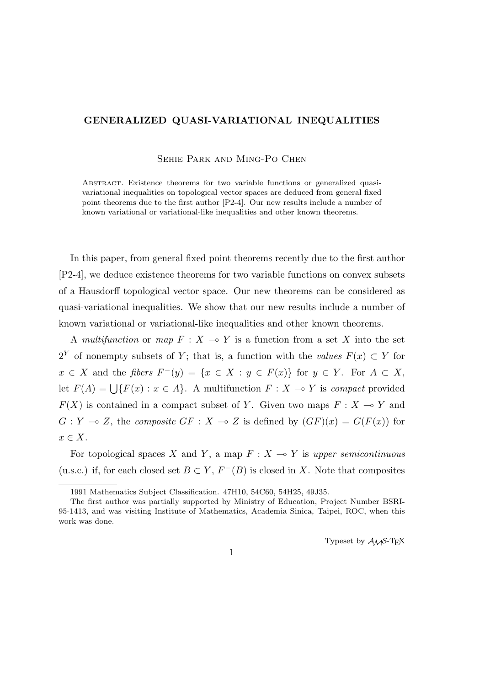## **GENERALIZED QUASI-VARIATIONAL INEQUALITIES**

Sehie Park and Ming-Po Chen

Abstract. Existence theorems for two variable functions or generalized quasivariational inequalities on topological vector spaces are deduced from general fixed point theorems due to the first author [P2-4]. Our new results include a number of known variational or variational-like inequalities and other known theorems.

In this paper, from general fixed point theorems recently due to the first author [P2-4], we deduce existence theorems for two variable functions on convex subsets of a Hausdorff topological vector space. Our new theorems can be considered as quasi-variational inequalities. We show that our new results include a number of known variational or variational-like inequalities and other known theorems.

A *multifunction* or *map*  $F: X \to Y$  is a function from a set X into the set 2<sup>*Y*</sup> of nonempty subsets of *Y*; that is, a function with the *values*  $F(x) \subset Y$  for  $x \in X$  and the fibers  $F^-(y) = \{x \in X : y \in F(x)\}\$ for  $y \in Y$ . For  $A \subset X$ , let  $F(A) = \bigcup \{F(x) : x \in A\}$ . A multifunction  $F: X \to Y$  is *compact* provided  $F(X)$  is contained in a compact subset of *Y*. Given two maps  $F: X \to Y$  and  $G: Y \to Z$ , the *composite*  $GF: X \to Z$  is defined by  $(GF)(x) = G(F(x))$  for *x ∈ X*.

For topological spaces *X* and *Y*, a map  $F: X \rightarrow Y$  is *upper semicontinuous* (u.s.c.) if, for each closed set  $B \subset Y$ ,  $F^{-}(B)$  is closed in *X*. Note that composites

Typeset by  $A_{\mathcal{M}}S$ -T<sub>E</sub>X

1

<sup>1991</sup> Mathematics Subject Classification. 47H10, 54C60, 54H25, 49J35.

The first author was partially supported by Ministry of Education, Project Number BSRI-95-1413, and was visiting Institute of Mathematics, Academia Sinica, Taipei, ROC, when this work was done.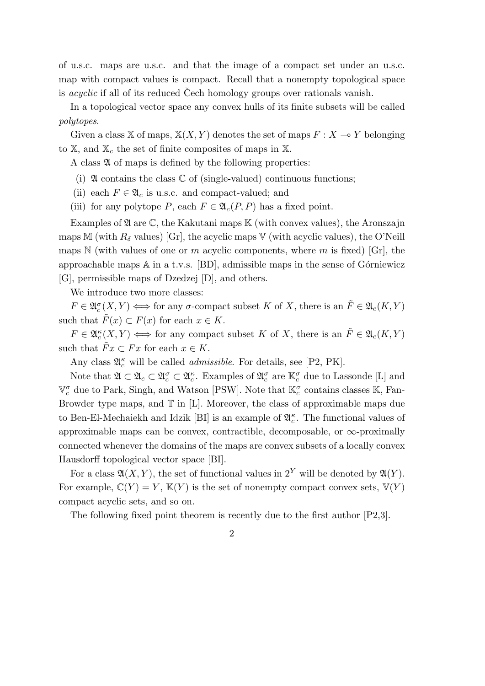of u.s.c. maps are u.s.c. and that the image of a compact set under an u.s.c. map with compact values is compact. Recall that a nonempty topological space is *acyclic* if all of its reduced Cech homology groups over rationals vanish.

In a topological vector space any convex hulls of its finite subsets will be called *polytopes*.

Given a class X of maps,  $X(X, Y)$  denotes the set of maps  $F: X \rightarrow Y$  belonging to X, and X*<sup>c</sup>* the set of finite composites of maps in X.

A class  $\mathfrak A$  of maps is defined by the following properties:

- (i)  $\mathfrak A$  contains the class  $\mathbb C$  of (single-valued) continuous functions;
- (ii) each  $F \in \mathfrak{A}_c$  is u.s.c. and compact-valued; and
- (iii) for any polytope *P*, each  $F \in \mathfrak{A}_{c}(P, P)$  has a fixed point.

Examples of  $\mathfrak A$  are  $\mathbb C$ , the Kakutani maps  $\mathbb K$  (with convex values), the Aronszajn maps M (with  $R_\delta$  values) [Gr], the acyclic maps V (with acyclic values), the O'Neill maps  $\mathbb N$  (with values of one or *m* acyclic components, where *m* is fixed) [Gr], the approachable maps  $\mathbb A$  in a t.v.s. [BD], admissible maps in the sense of Górniewicz [G], permissible maps of Dzedzej [D], and others.

We introduce two more classes:

 $F \in \mathfrak{A}_c^{\sigma}(X, Y) \Longleftrightarrow$  for any *σ*-compact subset *K* of *X*, there is an  $\tilde{F} \in \mathfrak{A}_c(K, Y)$ such that  $\tilde{F}(x) \subset F(x)$  for each  $x \in K$ .

 $F \in \mathfrak{A}_c^{\kappa}(X, Y) \Longleftrightarrow$  for any compact subset *K* of *X*, there is an  $\tilde{F} \in \mathfrak{A}_c(K, Y)$ such that  $\tilde{F}x \subset Fx$  for each  $x \in K$ .

Any class  $\mathfrak{A}_{c}^{\kappa}$  will be called *admissible*. For details, see [P2, PK].

Note that  $\mathfrak{A} \subset \mathfrak{A}_c \subset \mathfrak{A}_c^{\sigma} \subset \mathfrak{A}_c^{\kappa}$ . Examples of  $\mathfrak{A}_c^{\sigma}$  are  $\mathbb{K}_c^{\sigma}$  due to Lassonde [L] and  $\mathbb{V}_c^{\sigma}$  due to Park, Singh, and Watson [PSW]. Note that  $\mathbb{K}_c^{\sigma}$  contains classes K, Fan-Browder type maps, and  $\mathbb T$  in [L]. Moreover, the class of approximable maps due to Ben-El-Mechaiekh and Idzik [BI] is an example of  $\mathfrak{A}_{c}^{\kappa}$ . The functional values of approximable maps can be convex, contractible, decomposable, or *∞*-proximally connected whenever the domains of the maps are convex subsets of a locally convex Hausdorff topological vector space [BI].

For a class  $\mathfrak{A}(X,Y)$ , the set of functional values in  $2^Y$  will be denoted by  $\mathfrak{A}(Y)$ . For example,  $\mathbb{C}(Y) = Y$ ,  $\mathbb{K}(Y)$  is the set of nonempty compact convex sets,  $\mathbb{V}(Y)$ compact acyclic sets, and so on.

The following fixed point theorem is recently due to the first author [P2,3].

2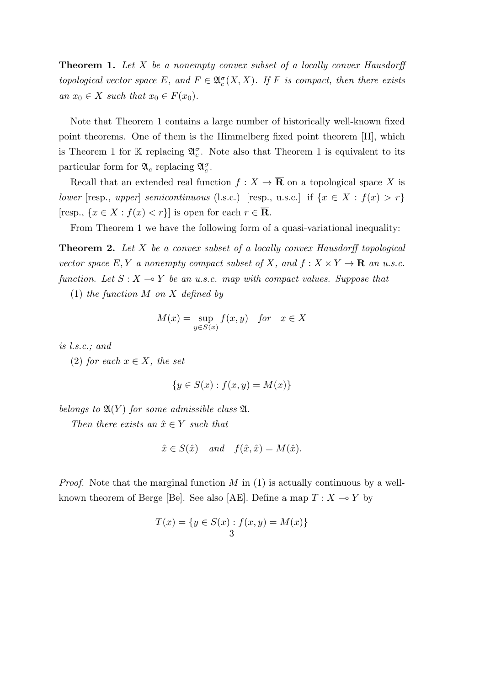**Theorem 1.** *Let X be a nonempty convex subset of a locally convex Hausdorff topological vector space*  $E$ *, and*  $F \in \mathfrak{A}_c^{\sigma}(X,X)$ *. If*  $F$  *is compact, then there exists*  $an x_0 \in X$  *such that*  $x_0 \in F(x_0)$ *.* 

Note that Theorem 1 contains a large number of historically well-known fixed point theorems. One of them is the Himmelberg fixed point theorem [H], which is Theorem 1 for K replacing  $\mathfrak{A}_{c}^{\sigma}$ . Note also that Theorem 1 is equivalent to its particular form for  $\mathfrak{A}_c$  replacing  $\mathfrak{A}_c^{\sigma}$ .

Recall that an extended real function  $f: X \to \mathbf{\overline{R}}$  on a topological space X is *lower* [resp., *upper*] *semicontinuous* (l.s.c.) [resp., u.s.c.] if  $\{x \in X : f(x) > r\}$  $[resp., \{x \in X : f(x) < r\}]$  is open for each  $r \in \overline{\mathbf{R}}$ .

From Theorem 1 we have the following form of a quasi-variational inequality:

**Theorem 2.** *Let X be a convex subset of a locally convex Hausdorff topological vector space*  $E, Y$  *a nonempty compact subset of*  $X$ *, and*  $f: X \times Y \to \mathbf{R}$  *an u.s.c. function.* Let  $S: X \to Y$  be an u.s.c. map with compact values. Suppose that

(1) *the function M on X defined by*

$$
M(x) = \sup_{y \in S(x)} f(x, y) \quad \text{for} \quad x \in X
$$

*is l.s.c.; and*

(2) *for each*  $x \in X$ *, the set* 

$$
\{y \in S(x) : f(x, y) = M(x)\}\
$$

*belongs to*  $\mathfrak{A}(Y)$  *for some admissible class*  $\mathfrak{A}$ *.* 

*Then there exists an*  $\hat{x} \in Y$  *such that* 

$$
\hat{x} \in S(\hat{x})
$$
 and  $f(\hat{x}, \hat{x}) = M(\hat{x}).$ 

*Proof.* Note that the marginal function *M* in (1) is actually continuous by a wellknown theorem of Berge [Be]. See also [AE]. Define a map  $T: X \to Y$  by

$$
T(x) = \{ y \in S(x) : f(x, y) = M(x) \}
$$
  
3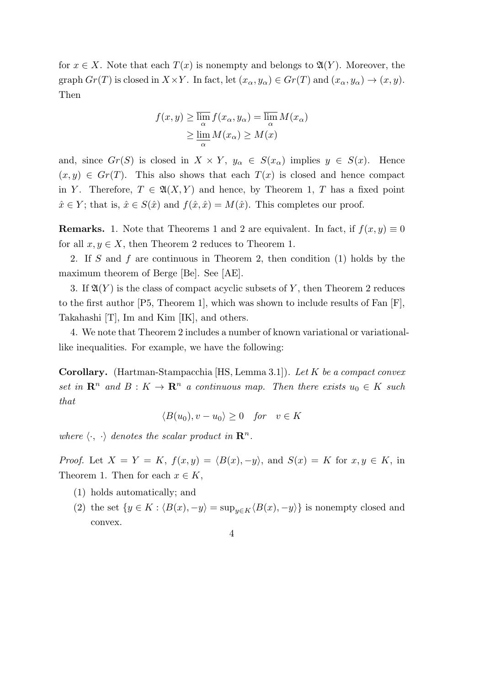for  $x \in X$ . Note that each  $T(x)$  is nonempty and belongs to  $\mathfrak{A}(Y)$ . Moreover, the graph  $Gr(T)$  is closed in  $X \times Y$ . In fact, let  $(x_{\alpha}, y_{\alpha}) \in Gr(T)$  and  $(x_{\alpha}, y_{\alpha}) \to (x, y)$ . Then

$$
f(x, y) \ge \overline{\lim_{\alpha}} f(x_{\alpha}, y_{\alpha}) = \overline{\lim_{\alpha}} M(x_{\alpha})
$$
  
 
$$
\ge \underline{\lim_{\alpha}} M(x_{\alpha}) \ge M(x)
$$

and, since  $Gr(S)$  is closed in  $X \times Y$ ,  $y_{\alpha} \in S(x_{\alpha})$  implies  $y \in S(x)$ . Hence  $(x, y) \in Gr(T)$ . This also shows that each  $T(x)$  is closed and hence compact in *Y*. Therefore,  $T \in \mathfrak{A}(X, Y)$  and hence, by Theorem 1, *T* has a fixed point  $\hat{x} \in Y$ ; that is,  $\hat{x} \in S(\hat{x})$  and  $f(\hat{x}, \hat{x}) = M(\hat{x})$ . This completes our proof.

**Remarks.** 1. Note that Theorems 1 and 2 are equivalent. In fact, if  $f(x, y) \equiv 0$ for all  $x, y \in X$ , then Theorem 2 reduces to Theorem 1.

2. If *S* and *f* are continuous in Theorem 2, then condition (1) holds by the maximum theorem of Berge [Be]. See [AE].

3. If  $\mathfrak{A}(Y)$  is the class of compact acyclic subsets of Y, then Theorem 2 reduces to the first author  $[P5, Theorem 1]$ , which was shown to include results of Fan  $[F]$ , Takahashi [T], Im and Kim [IK], and others.

4. We note that Theorem 2 includes a number of known variational or variationallike inequalities. For example, we have the following:

**Corollary.** (Hartman-Stampacchia [HS, Lemma 3.1])*. Let K be a compact convex set in*  $\mathbb{R}^n$  *and*  $B: K \to \mathbb{R}^n$  *a continuous map. Then there exists*  $u_0 \in K$  *such that*

$$
\langle B(u_0), v - u_0 \rangle \ge 0 \quad \text{for} \quad v \in K
$$

*where*  $\langle \cdot, \cdot \rangle$  *denotes the scalar product in*  $\mathbb{R}^n$ *.* 

*Proof.* Let  $X = Y = K$ ,  $f(x, y) = \langle B(x), -y \rangle$ , and  $S(x) = K$  for  $x, y \in K$ , in Theorem 1. Then for each  $x \in K$ ,

- (1) holds automatically; and
- (2) the set  $\{y \in K : \langle B(x), -y \rangle = \sup_{y \in K} \langle B(x), -y \rangle\}$  is nonempty closed and convex.
	- 4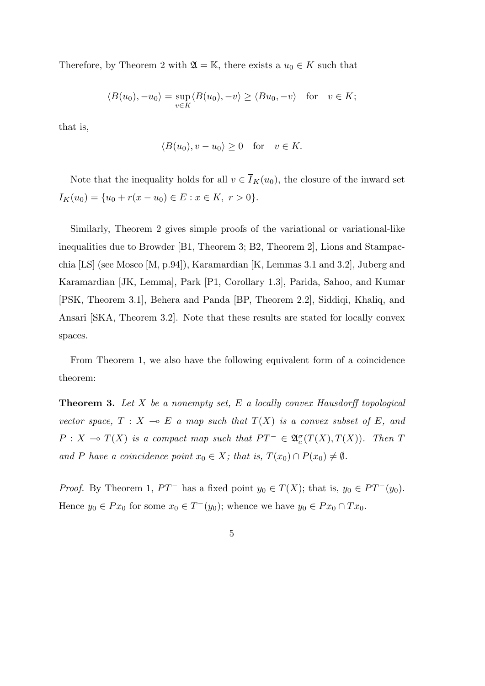Therefore, by Theorem 2 with  $\mathfrak{A} = \mathbb{K}$ , there exists a  $u_0 \in K$  such that

$$
\langle B(u_0), -u_0 \rangle = \sup_{v \in K} \langle B(u_0), -v \rangle \ge \langle Bu_0, -v \rangle \quad \text{for} \quad v \in K;
$$

that is,

$$
\langle B(u_0), v - u_0 \rangle \ge 0 \quad \text{for} \quad v \in K.
$$

Note that the inequality holds for all  $v \in \overline{I}_K(u_0)$ , the closure of the inward set  $I_K(u_0) = \{u_0 + r(x - u_0) \in E : x \in K, r > 0\}.$ 

Similarly, Theorem 2 gives simple proofs of the variational or variational-like inequalities due to Browder [B1, Theorem 3; B2, Theorem 2], Lions and Stampacchia [LS] (see Mosco [M, p.94]), Karamardian [K, Lemmas 3.1 and 3.2], Juberg and Karamardian [JK, Lemma], Park [P1, Corollary 1.3], Parida, Sahoo, and Kumar [PSK, Theorem 3.1], Behera and Panda [BP, Theorem 2.2], Siddiqi, Khaliq, and Ansari [SKA, Theorem 3.2]. Note that these results are stated for locally convex spaces.

From Theorem 1, we also have the following equivalent form of a coincidence theorem:

**Theorem 3.** *Let X be a nonempty set, E a locally convex Hausdorff topological vector space,*  $T : X \multimap E$  *a map such that*  $T(X)$  *is a convex subset of*  $E$ *, and*  $P: X \to T(X)$  *is a compact map such that*  $PT^- \in \mathfrak{A}_c^{\sigma}(T(X), T(X))$ *. Then T and P have a coincidence point*  $x_0 \in X$ *; that is,*  $T(x_0) \cap P(x_0) \neq \emptyset$ *.* 

*Proof.* By Theorem 1,  $PT^-$  has a fixed point  $y_0 \in T(X)$ ; that is,  $y_0 \in PT^-(y_0)$ . Hence  $y_0 \in Px_0$  for some  $x_0 \in T^-(y_0)$ ; whence we have  $y_0 \in Px_0 \cap Tx_0$ .

$$
\overline{5}
$$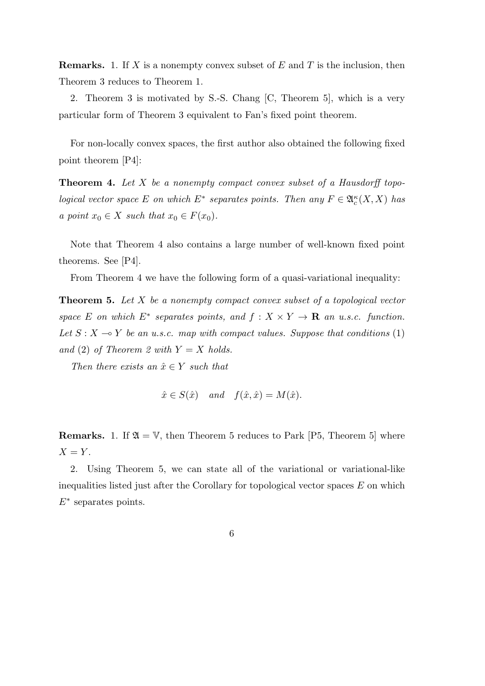**Remarks.** 1. If *X* is a nonempty convex subset of *E* and *T* is the inclusion, then Theorem 3 reduces to Theorem 1.

2. Theorem 3 is motivated by S.-S. Chang [C, Theorem 5], which is a very particular form of Theorem 3 equivalent to Fan's fixed point theorem.

For non-locally convex spaces, the first author also obtained the following fixed point theorem [P4]:

**Theorem 4.** *Let X be a nonempty compact convex subset of a Hausdorff topological vector space E on which*  $E^*$  *separates points. Then any*  $F \in \mathfrak{A}_c^{\kappa}(X, X)$  *has a point*  $x_0 \in X$  *such that*  $x_0 \in F(x_0)$ *.* 

Note that Theorem 4 also contains a large number of well-known fixed point theorems. See [P4].

From Theorem 4 we have the following form of a quasi-variational inequality:

**Theorem 5.** *Let X be a nonempty compact convex subset of a topological vector space E on which*  $E^*$  *separates points, and*  $f: X \times Y \to \mathbf{R}$  *an u.s.c. function.* Let  $S: X \to Y$  be an u.s.c. map with compact values. Suppose that conditions (1) *and* (2) *of Theorem 2 with*  $Y = X$  *holds.* 

*Then there exists an*  $\hat{x} \in Y$  *such that* 

$$
\hat{x} \in S(\hat{x})
$$
 and  $f(\hat{x}, \hat{x}) = M(\hat{x})$ .

**Remarks.** 1. If  $\mathfrak{A} = \mathbb{V}$ , then Theorem 5 reduces to Park [P5, Theorem 5] where  $X = Y$ .

2. Using Theorem 5, we can state all of the variational or variational-like inequalities listed just after the Corollary for topological vector spaces *E* on which *E<sup>∗</sup>* separates points.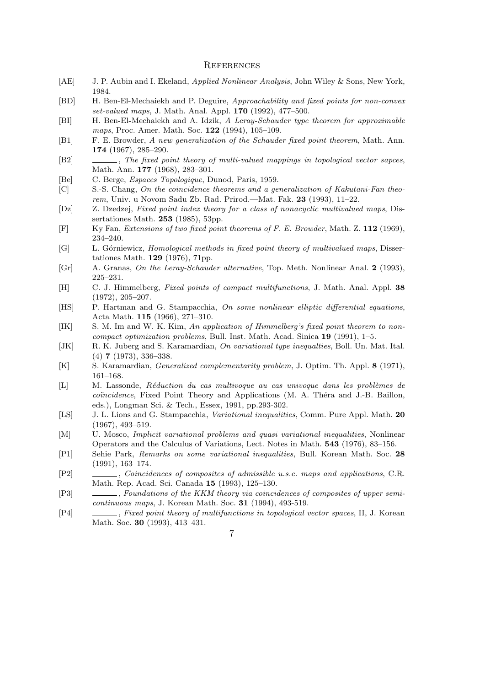## **REFERENCES**

- [AE] J. P. Aubin and I. Ekeland, *Applied Nonlinear Analysis*, John Wiley & Sons, New York, 1984.
- [BD] H. Ben-El-Mechaiekh and P. Deguire, *Approachability and fixed points for non-convex set-valued maps*, J. Math. Anal. Appl. **170** (1992), 477–500.
- [BI] H. Ben-El-Mechaiekh and A. Idzik, *A Leray-Schauder type theorem for approximable maps*, Proc. Amer. Math. Soc. **122** (1994), 105–109.
- [B1] F. E. Browder, *A new generalization of the Schauder fixed point theorem*, Math. Ann. **174** (1967), 285–290.
- [B2] , *The fixed point theory of multi-valued mappings in topological vector sapces*, Math. Ann. **177** (1968), 283–301.
- [Be] C. Berge, *Espaces Topologique*, Dunod, Paris, 1959.
- [C] S.-S. Chang, *On the coincidence theorems and a generalization of Kakutani-Fan theorem*, Univ. u Novom Sadu Zb. Rad. Prirod.—Mat. Fak. **23** (1993), 11–22.
- [Dz] Z. Dzedzej, *Fixed point index theory for a class of nonacyclic multivalued maps*, Dissertationes Math. **253** (1985), 53pp.
- [F] Ky Fan, *Extensions of two fixed point theorems of F. E. Browder*, Math. Z. **112** (1969), 234–240.
- [G] L. Górniewicz, *Homological methods in fixed point theory of multivalued maps*, Dissertationes Math. **129** (1976), 71pp.
- [Gr] A. Granas, *On the Leray-Schauder alternative*, Top. Meth. Nonlinear Anal. **2** (1993), 225–231.
- [H] C. J. Himmelberg, *Fixed points of compact multifunctions*, J. Math. Anal. Appl. **38** (1972), 205–207.
- [HS] P. Hartman and G. Stampacchia, *On some nonlinear elliptic differential equations*, Acta Math. **115** (1966), 271–310.
- [IK] S. M. Im and W. K. Kim, *An application of Himmelberg's fixed point theorem to noncompact optimization problems*, Bull. Inst. Math. Acad. Sinica **19** (1991), 1–5.
- [JK] R. K. Juberg and S. Karamardian, *On variational type inequalties*, Boll. Un. Mat. Ital. (4) **7** (1973), 336–338.
- [K] S. Karamardian, *Generalized complementarity problem*, J. Optim. Th. Appl. **8** (1971), 161–168.
- [L] M. Lassonde, *R´eduction du cas multivoque au cas univoque dans les probl`emes de coïncidence*, Fixed Point Theory and Applications (M. A. Théra and J.-B. Baillon, eds.), Longman Sci. & Tech., Essex, 1991, pp.293-302.
- [LS] J. L. Lions and G. Stampacchia, *Variational inequalities*, Comm. Pure Appl. Math. **20** (1967), 493–519.
- [M] U. Mosco, *Implicit variational problems and quasi variational inequalities*, Nonlinear Operators and the Calculus of Variations, Lect. Notes in Math. **543** (1976), 83–156.
- [P1] Sehie Park, *Remarks on some variational inequalities*, Bull. Korean Math. Soc. **28** (1991), 163–174.
- [P2] , *Coincidences of composites of admissible u.s.c. maps and applications*, C.R. Math. Rep. Acad. Sci. Canada **15** (1993), 125–130.
- [P3] , *Foundations of the KKM theory via coincidences of composites of upper semicontinuous maps*, J. Korean Math. Soc. **31** (1994), 493-519.
- [P4] , *Fixed point theory of multifunctions in topological vector spaces*, II, J. Korean Math. Soc. **30** (1993), 413–431.
	- 7